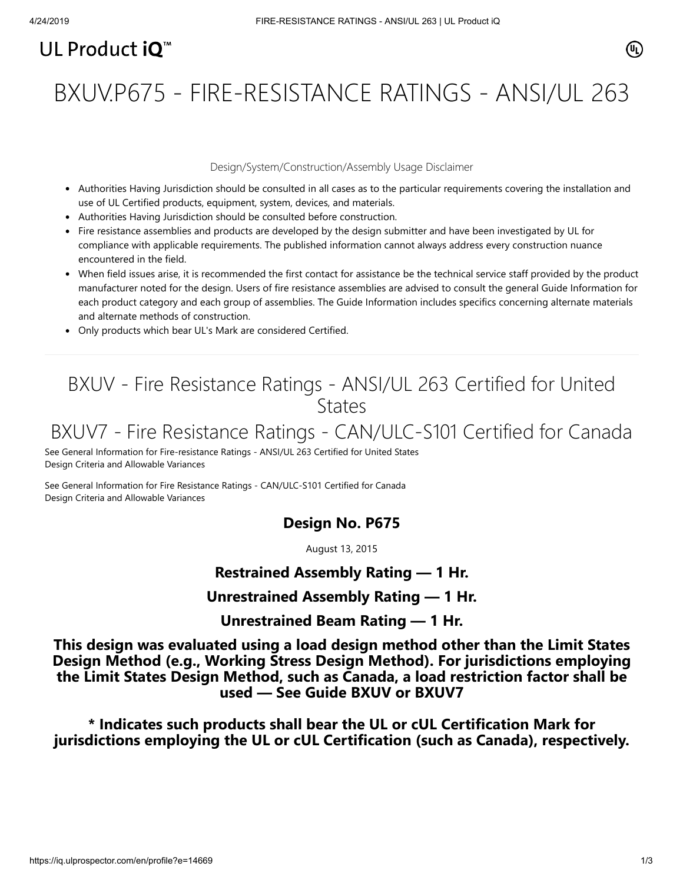# UL Product  $i\mathbf{O}^m$

# BXUV.P675 - FIRE-RESISTANCE RATINGS - ANSI/UL 263

#### Design/System/Construction/Assembly Usage Disclaimer

- Authorities Having Jurisdiction should be consulted in all cases as to the particular requirements covering the installation and use of UL Certified products, equipment, system, devices, and materials.
- Authorities Having Jurisdiction should be consulted before construction.
- Fire resistance assemblies and products are developed by the design submitter and have been investigated by UL for compliance with applicable requirements. The published information cannot always address every construction nuance encountered in the field.
- When field issues arise, it is recommended the first contact for assistance be the technical service staff provided by the product manufacturer noted for the design. Users of fire resistance assemblies are advised to consult the general Guide Information for each product category and each group of assemblies. The Guide Information includes specifics concerning alternate materials and alternate methods of construction.
- Only products which bear UL's Mark are considered Certified.

## BXUV - Fire Resistance Ratings - ANSI/UL 263 Certified for United **States**

## BXUV7 - Fire Resistance Ratings - CAN/ULC-S101 Certified for Canada

[See General Information for Fire-resistance Ratings - ANSI/UL 263 Certified for United States](https://iq.ulprospector.com/cgi-bin/XYV/template/LISEXT/1FRAME/showpage.html?name=BXUV.GuideInfo&ccnshorttitle=Fire-resistance+Ratings+-+ANSI/UL+263&objid=1074327030&cfgid=1073741824&version=versionless&parent_id=1073984818&sequence=1) Design Criteria and Allowable Variances

[See General Information for Fire Resistance Ratings - CAN/ULC-S101 Certified for Canada](https://iq.ulprospector.com/cgi-bin/XYV/template/LISEXT/1FRAME/showpage.html?name=BXUV7.GuideInfo&ccnshorttitle=Fire+Resistance+Ratings+-+CAN/ULC-S101+Certified+for+Canada&objid=1074205658&cfgid=1073741824&version=versionless&parent_id=1073984820&sequence=1) Design Criteria and Allowable Variances

## **Design No. P675**

August 13, 2015

## **Restrained Assembly Rating — 1 Hr.**

#### **Unrestrained Assembly Rating — 1 Hr.**

**Unrestrained Beam Rating — 1 Hr.**

**This design was evaluated using a load design method other than the Limit States Design Method (e.g., Working Stress Design Method). For jurisdictions employing the Limit States Design Method, such as Canada, a load restriction factor shall be used — See Guide [BXUV](http://database.ul.com/cgi-bin/XYV/template/LISEXT/1FRAME/showpage.html?name=BXUV.GuideInfo&ccnshorttitle=Fire-resistance+Ratings+-+ANSI/UL+263&objid=1074327030&cfgid=1073741824&version=versionless&parent_id=1073984818&sequence=1) or [BXUV7](http://database.ul.com/cgi-bin/XYV/template/LISEXT/1FRAME/showpage.html?name=BXUV7.GuideInfo&ccnshorttitle=Fire+Resistance+Ratings+-+CAN/ULC-S101M+Certified+for+Canada&objid=1074205658&cfgid=1073741824&version=versionless&parent_id=1073984820&sequence=1)**

**\* Indicates such products shall bear the UL or cUL Certification Mark for jurisdictions employing the UL or cUL Certification (such as Canada), respectively.**

⁄ඔ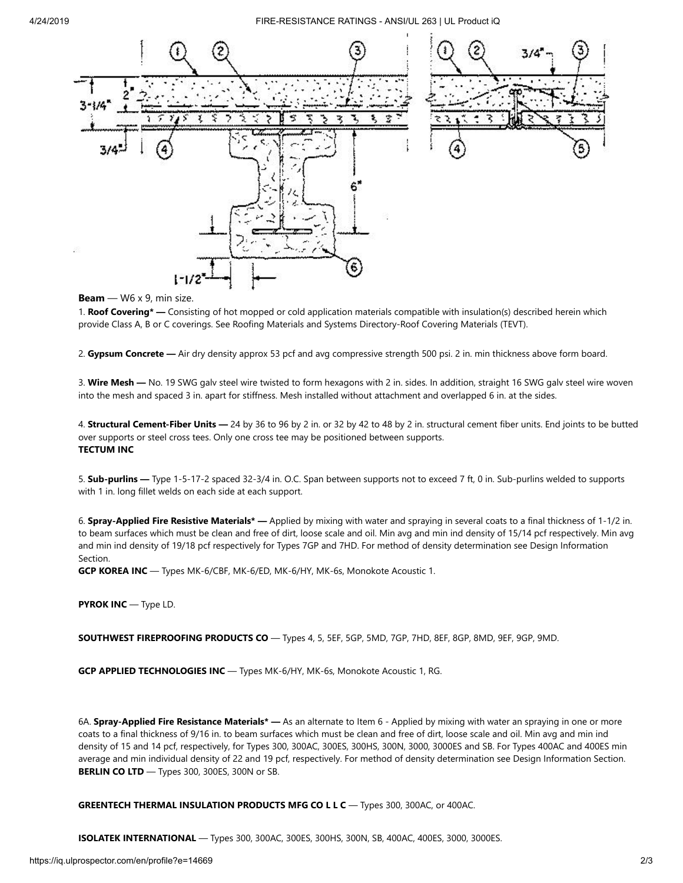

#### **Beam** — W6 x 9, min size.

1. **Roof Covering\* —** Consisting of hot mopped or cold application materials compatible with insulation(s) described herein which provide Class A, B or C coverings. See Roofing Materials and Systems Directory-Roof Covering Materials (TEVT).

2. **Gypsum Concrete —** Air dry density approx 53 pcf and avg compressive strength 500 psi. 2 in. min thickness above form board.

3. **Wire Mesh —** No. 19 SWG galv steel wire twisted to form hexagons with 2 in. sides. In addition, straight 16 SWG galv steel wire woven into the mesh and spaced 3 in. apart for stiffness. Mesh installed without attachment and overlapped 6 in. at the sides.

4. **Structural Cement-Fiber Units —** 24 by 36 to 96 by 2 in. or 32 by 42 to 48 by 2 in. structural cement fiber units. End joints to be butted over supports or steel cross tees. Only one cross tee may be positioned between supports. **TECTUM INC**

5. **Sub-purlins —** Type 1-5-17-2 spaced 32-3/4 in. O.C. Span between supports not to exceed 7 ft, 0 in. Sub-purlins welded to supports with 1 in. long fillet welds on each side at each support.

6. **Spray-Applied Fire Resistive Materials\* —** Applied by mixing with water and spraying in several coats to a final thickness of 1-1/2 in. to beam surfaces which must be clean and free of dirt, loose scale and oil. Min avg and min ind density of 15/14 pcf respectively. Min avg and min ind density of 19/18 pcf respectively for Types 7GP and 7HD. For method of density determination see Design Information Section.

**GCP KOREA INC** — Types MK-6/CBF, MK-6/ED, MK-6/HY, MK-6s, Monokote Acoustic 1.

**PYROK INC** — Type LD.

**SOUTHWEST FIREPROOFING PRODUCTS CO** — Types 4, 5, 5EF, 5GP, 5MD, 7GP, 7HD, 8EF, 8GP, 8MD, 9EF, 9GP, 9MD.

**GCP APPLIED TECHNOLOGIES INC** — Types MK-6/HY, MK-6s, Monokote Acoustic 1, RG.

6A. **Spray-Applied Fire Resistance Materials\* —** As an alternate to Item 6 - Applied by mixing with water an spraying in one or more coats to a final thickness of 9/16 in. to beam surfaces which must be clean and free of dirt, loose scale and oil. Min avg and min ind density of 15 and 14 pcf, respectively, for Types 300, 300AC, 300ES, 300HS, 300N, 3000, 3000ES and SB. For Types 400AC and 400ES min average and min individual density of 22 and 19 pcf, respectively. For method of density determination see Design Information Section. **BERLIN CO LTD** — Types 300, 300ES, 300N or SB.

**GREENTECH THERMAL INSULATION PRODUCTS MFG CO L L C** — Types 300, 300AC, or 400AC.

**ISOLATEK INTERNATIONAL** — Types 300, 300AC, 300ES, 300HS, 300N, SB, 400AC, 400ES, 3000, 3000ES.